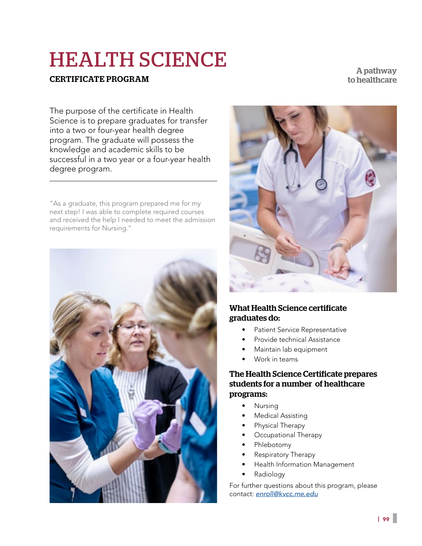# HEALTH SCIENCE

# CERTIFICATE PROGRAM

A pathway to healthcare

The purpose of the certificate in Health Science is to prepare graduates for transfer into a two or four-year health degree program. The graduate will possess the knowledge and academic skills to be successful in a two year or a four-year health degree program.

"As a graduate, this program prepared me for my next step! I was able to complete required courses and received the help I needed to meet the admission requirements for Nursing."





# What Health Science certificate graduates do:

- Patient Service Representative
- Provide technical Assistance
- Maintain lab equipment
- Work in teams

## The Health Science Certificate prepares students for a number of healthcare programs:

- Nursing
- **Medical Assisting**
- Physical Therapy
- Occupational Therapy
- Phlebotomy
- Respiratory Therapy
- Health Information Management
- Radiology

For further questions about this program, please contact: *enroll@kvcc.me.edu*